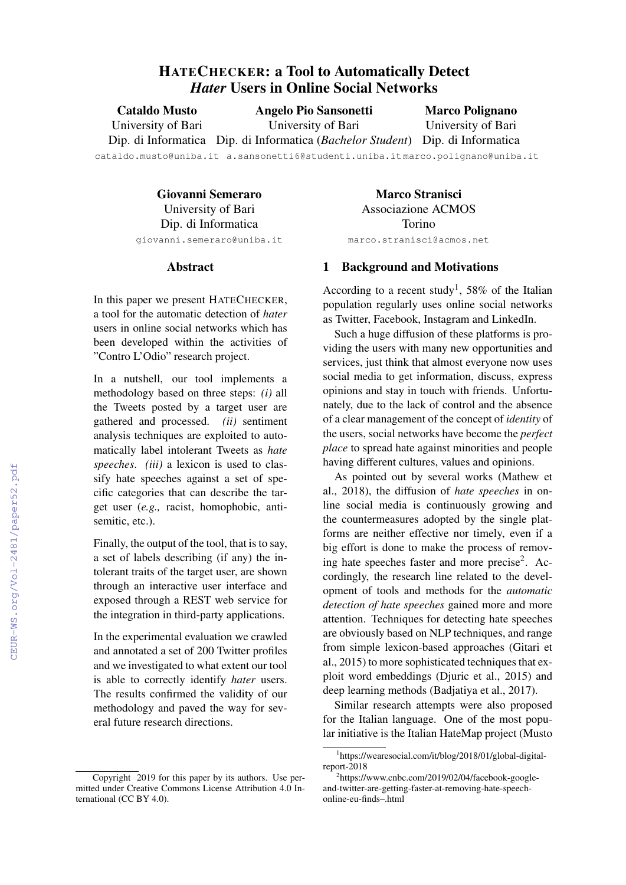# HATECHECKER: a Tool to Automatically Detect *Hater* Users in Online Social Networks

Cataldo Musto University of Bari Angelo Pio Sansonetti University of Bari

Marco Polignano University of Bari

Dip. di Informatica Dip. di Informatica (*Bachelor Student*) Dip. di Informatica

cataldo.musto@uniba.it a.sansonetti6@studenti.uniba.it marco.polignano@uniba.it

Giovanni Semeraro University of Bari Dip. di Informatica giovanni.semeraro@uniba.it

Marco Stranisci Associazione ACMOS Torino marco.stranisci@acmos.net

### Abstract

In this paper we present HATECHECKER, a tool for the automatic detection of *hater* users in online social networks which has been developed within the activities of "Contro L'Odio" research project.

In a nutshell, our tool implements a methodology based on three steps: *(i)* all the Tweets posted by a target user are gathered and processed. *(ii)* sentiment analysis techniques are exploited to automatically label intolerant Tweets as *hate speeches*. *(iii)* a lexicon is used to classify hate speeches against a set of specific categories that can describe the target user (*e.g.,* racist, homophobic, antisemitic, etc.).

Finally, the output of the tool, that is to say, a set of labels describing (if any) the intolerant traits of the target user, are shown through an interactive user interface and exposed through a REST web service for the integration in third-party applications.

In the experimental evaluation we crawled and annotated a set of 200 Twitter profiles and we investigated to what extent our tool is able to correctly identify *hater* users. The results confirmed the validity of our methodology and paved the way for several future research directions.

## 1 Background and Motivations

According to a recent study<sup>1</sup>, 58% of the Italian population regularly uses online social networks as Twitter, Facebook, Instagram and LinkedIn.

Such a huge diffusion of these platforms is providing the users with many new opportunities and services, just think that almost everyone now uses social media to get information, discuss, express opinions and stay in touch with friends. Unfortunately, due to the lack of control and the absence of a clear management of the concept of *identity* of the users, social networks have become the *perfect place* to spread hate against minorities and people having different cultures, values and opinions.

As pointed out by several works (Mathew et al., 2018), the diffusion of *hate speeches* in online social media is continuously growing and the countermeasures adopted by the single platforms are neither effective nor timely, even if a big effort is done to make the process of removing hate speeches faster and more precise<sup>2</sup>. Accordingly, the research line related to the development of tools and methods for the *automatic detection of hate speeches* gained more and more attention. Techniques for detecting hate speeches are obviously based on NLP techniques, and range from simple lexicon-based approaches (Gitari et al., 2015) to more sophisticated techniques that exploit word embeddings (Djuric et al., 2015) and deep learning methods (Badjatiya et al., 2017).

Similar research attempts were also proposed for the Italian language. One of the most popular initiative is the Italian HateMap project (Musto

Copyright 2019 for this paper by its authors. Use permitted under Creative Commons License Attribution 4.0 International (CC BY 4.0).

<sup>1</sup> https://wearesocial.com/it/blog/2018/01/global-digitalreport-2018

<sup>2</sup> https://www.cnbc.com/2019/02/04/facebook-googleand-twitter-are-getting-faster-at-removing-hate-speechonline-eu-finds–.html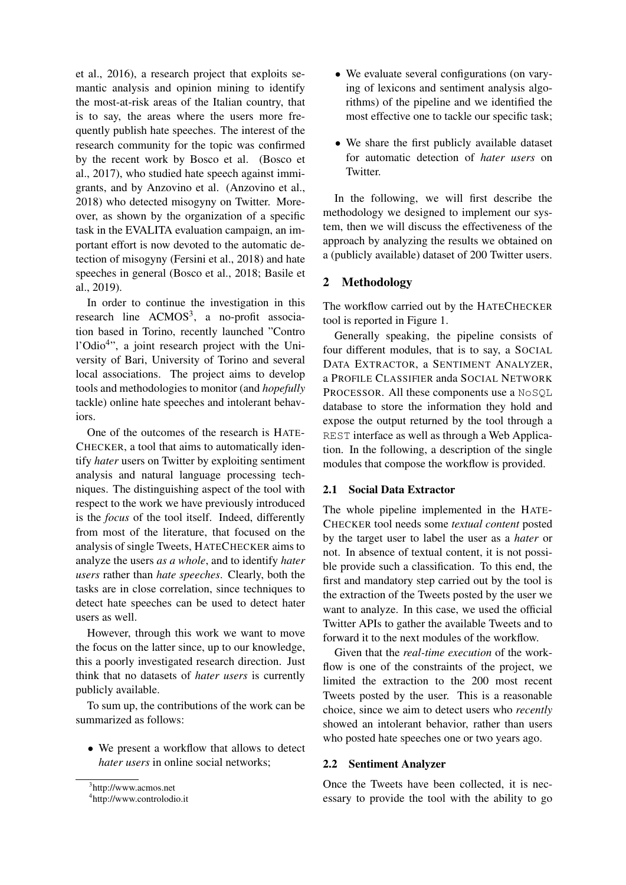et al., 2016), a research project that exploits semantic analysis and opinion mining to identify the most-at-risk areas of the Italian country, that is to say, the areas where the users more frequently publish hate speeches. The interest of the research community for the topic was confirmed by the recent work by Bosco et al. (Bosco et al., 2017), who studied hate speech against immigrants, and by Anzovino et al. (Anzovino et al., 2018) who detected misogyny on Twitter. Moreover, as shown by the organization of a specific task in the EVALITA evaluation campaign, an important effort is now devoted to the automatic detection of misogyny (Fersini et al., 2018) and hate speeches in general (Bosco et al., 2018; Basile et al., 2019).

In order to continue the investigation in this research line  $ACMOS<sup>3</sup>$ , a no-profit association based in Torino, recently launched "Contro l'Odio<sup>4</sup>", a joint research project with the University of Bari, University of Torino and several local associations. The project aims to develop tools and methodologies to monitor (and *hopefully* tackle) online hate speeches and intolerant behaviors.

One of the outcomes of the research is HATE-CHECKER, a tool that aims to automatically identify *hater* users on Twitter by exploiting sentiment analysis and natural language processing techniques. The distinguishing aspect of the tool with respect to the work we have previously introduced is the *focus* of the tool itself. Indeed, differently from most of the literature, that focused on the analysis of single Tweets, HATECHECKER aims to analyze the users *as a whole*, and to identify *hater users* rather than *hate speeches*. Clearly, both the tasks are in close correlation, since techniques to detect hate speeches can be used to detect hater users as well.

However, through this work we want to move the focus on the latter since, up to our knowledge, this a poorly investigated research direction. Just think that no datasets of *hater users* is currently publicly available.

To sum up, the contributions of the work can be summarized as follows:

• We present a workflow that allows to detect *hater users* in online social networks;

- We evaluate several configurations (on varying of lexicons and sentiment analysis algorithms) of the pipeline and we identified the most effective one to tackle our specific task;
- We share the first publicly available dataset for automatic detection of *hater users* on **Twitter**

In the following, we will first describe the methodology we designed to implement our system, then we will discuss the effectiveness of the approach by analyzing the results we obtained on a (publicly available) dataset of 200 Twitter users.

# 2 Methodology

The workflow carried out by the HATECHECKER tool is reported in Figure 1.

Generally speaking, the pipeline consists of four different modules, that is to say, a SOCIAL DATA EXTRACTOR, a SENTIMENT ANALYZER, a PROFILE CLASSIFIER anda SOCIAL NETWORK PROCESSOR. All these components use a NoSOL database to store the information they hold and expose the output returned by the tool through a REST interface as well as through a Web Application. In the following, a description of the single modules that compose the workflow is provided.

# 2.1 Social Data Extractor

The whole pipeline implemented in the HATE-CHECKER tool needs some *textual content* posted by the target user to label the user as a *hater* or not. In absence of textual content, it is not possible provide such a classification. To this end, the first and mandatory step carried out by the tool is the extraction of the Tweets posted by the user we want to analyze. In this case, we used the official Twitter APIs to gather the available Tweets and to forward it to the next modules of the workflow.

Given that the *real-time execution* of the workflow is one of the constraints of the project, we limited the extraction to the 200 most recent Tweets posted by the user. This is a reasonable choice, since we aim to detect users who *recently* showed an intolerant behavior, rather than users who posted hate speeches one or two years ago.

# 2.2 Sentiment Analyzer

Once the Tweets have been collected, it is necessary to provide the tool with the ability to go

<sup>3</sup> http://www.acmos.net

<sup>4</sup> http://www.controlodio.it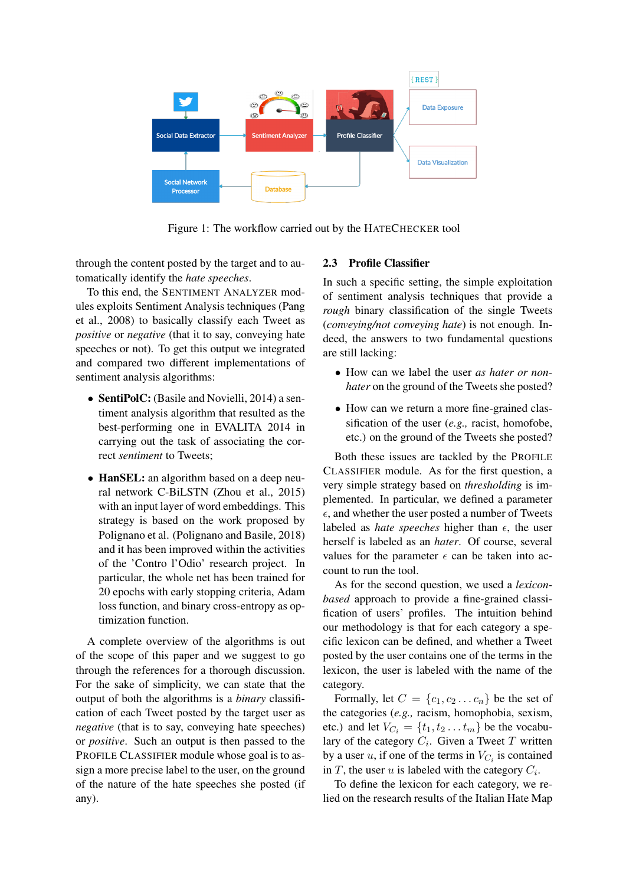

Figure 1: The workflow carried out by the HATECHECKER tool

through the content posted by the target and to automatically identify the *hate speeches*.

To this end, the SENTIMENT ANALYZER modules exploits Sentiment Analysis techniques (Pang et al., 2008) to basically classify each Tweet as *positive* or *negative* (that it to say, conveying hate speeches or not). To get this output we integrated and compared two different implementations of sentiment analysis algorithms:

- SentiPolC: (Basile and Novielli, 2014) a sentiment analysis algorithm that resulted as the best-performing one in EVALITA 2014 in carrying out the task of associating the correct *sentiment* to Tweets;
- **HanSEL**: an algorithm based on a deep neural network C-BiLSTN (Zhou et al., 2015) with an input layer of word embeddings. This strategy is based on the work proposed by Polignano et al. (Polignano and Basile, 2018) and it has been improved within the activities of the 'Contro l'Odio' research project. In particular, the whole net has been trained for 20 epochs with early stopping criteria, Adam loss function, and binary cross-entropy as optimization function.

A complete overview of the algorithms is out of the scope of this paper and we suggest to go through the references for a thorough discussion. For the sake of simplicity, we can state that the output of both the algorithms is a *binary* classification of each Tweet posted by the target user as *negative* (that is to say, conveying hate speeches) or *positive*. Such an output is then passed to the PROFILE CLASSIFIER module whose goal is to assign a more precise label to the user, on the ground of the nature of the hate speeches she posted (if any).

### 2.3 Profile Classifier

In such a specific setting, the simple exploitation of sentiment analysis techniques that provide a *rough* binary classification of the single Tweets (*conveying/not conveying hate*) is not enough. Indeed, the answers to two fundamental questions are still lacking:

- How can we label the user *as hater or nonhater* on the ground of the Tweets she posted?
- How can we return a more fine-grained classification of the user (*e.g.,* racist, homofobe, etc.) on the ground of the Tweets she posted?

Both these issues are tackled by the PROFILE CLASSIFIER module. As for the first question, a very simple strategy based on *thresholding* is implemented. In particular, we defined a parameter  $\epsilon$ , and whether the user posted a number of Tweets labeled as *hate speeches* higher than  $\epsilon$ , the user herself is labeled as an *hater*. Of course, several values for the parameter  $\epsilon$  can be taken into account to run the tool.

As for the second question, we used a *lexiconbased* approach to provide a fine-grained classification of users' profiles. The intuition behind our methodology is that for each category a specific lexicon can be defined, and whether a Tweet posted by the user contains one of the terms in the lexicon, the user is labeled with the name of the category.

Formally, let  $C = \{c_1, c_2 \dots c_n\}$  be the set of the categories (*e.g.,* racism, homophobia, sexism, etc.) and let  $V_{C_i} = \{t_1, t_2 \dots t_m\}$  be the vocabulary of the category  $C_i$ . Given a Tweet T written by a user u, if one of the terms in  $V_{C_i}$  is contained in  $T$ , the user  $u$  is labeled with the category  $C_i$ .

To define the lexicon for each category, we relied on the research results of the Italian Hate Map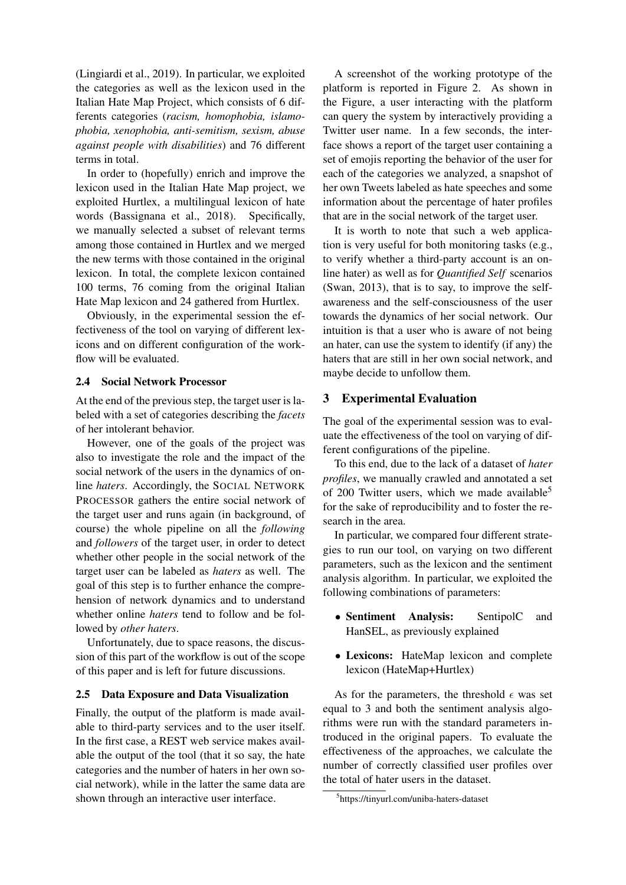(Lingiardi et al., 2019). In particular, we exploited the categories as well as the lexicon used in the Italian Hate Map Project, which consists of 6 differents categories (*racism, homophobia, islamophobia, xenophobia, anti-semitism, sexism, abuse against people with disabilities*) and 76 different terms in total.

In order to (hopefully) enrich and improve the lexicon used in the Italian Hate Map project, we exploited Hurtlex, a multilingual lexicon of hate words (Bassignana et al., 2018). Specifically, we manually selected a subset of relevant terms among those contained in Hurtlex and we merged the new terms with those contained in the original lexicon. In total, the complete lexicon contained 100 terms, 76 coming from the original Italian Hate Map lexicon and 24 gathered from Hurtlex.

Obviously, in the experimental session the effectiveness of the tool on varying of different lexicons and on different configuration of the workflow will be evaluated.

#### 2.4 Social Network Processor

At the end of the previous step, the target user is labeled with a set of categories describing the *facets* of her intolerant behavior.

However, one of the goals of the project was also to investigate the role and the impact of the social network of the users in the dynamics of online *haters*. Accordingly, the SOCIAL NETWORK PROCESSOR gathers the entire social network of the target user and runs again (in background, of course) the whole pipeline on all the *following* and *followers* of the target user, in order to detect whether other people in the social network of the target user can be labeled as *haters* as well. The goal of this step is to further enhance the comprehension of network dynamics and to understand whether online *haters* tend to follow and be followed by *other haters*.

Unfortunately, due to space reasons, the discussion of this part of the workflow is out of the scope of this paper and is left for future discussions.

### 2.5 Data Exposure and Data Visualization

Finally, the output of the platform is made available to third-party services and to the user itself. In the first case, a REST web service makes available the output of the tool (that it so say, the hate categories and the number of haters in her own social network), while in the latter the same data are shown through an interactive user interface.

A screenshot of the working prototype of the platform is reported in Figure 2. As shown in the Figure, a user interacting with the platform can query the system by interactively providing a Twitter user name. In a few seconds, the interface shows a report of the target user containing a set of emojis reporting the behavior of the user for each of the categories we analyzed, a snapshot of her own Tweets labeled as hate speeches and some information about the percentage of hater profiles that are in the social network of the target user.

It is worth to note that such a web application is very useful for both monitoring tasks (e.g., to verify whether a third-party account is an online hater) as well as for *Quantified Self* scenarios (Swan, 2013), that is to say, to improve the selfawareness and the self-consciousness of the user towards the dynamics of her social network. Our intuition is that a user who is aware of not being an hater, can use the system to identify (if any) the haters that are still in her own social network, and maybe decide to unfollow them.

### 3 Experimental Evaluation

The goal of the experimental session was to evaluate the effectiveness of the tool on varying of different configurations of the pipeline.

To this end, due to the lack of a dataset of *hater profiles*, we manually crawled and annotated a set of 200 Twitter users, which we made available<sup>5</sup> for the sake of reproducibility and to foster the research in the area.

In particular, we compared four different strategies to run our tool, on varying on two different parameters, such as the lexicon and the sentiment analysis algorithm. In particular, we exploited the following combinations of parameters:

- Sentiment Analysis: SentipolC and HanSEL, as previously explained
- Lexicons: HateMap lexicon and complete lexicon (HateMap+Hurtlex)

As for the parameters, the threshold  $\epsilon$  was set equal to 3 and both the sentiment analysis algorithms were run with the standard parameters introduced in the original papers. To evaluate the effectiveness of the approaches, we calculate the number of correctly classified user profiles over the total of hater users in the dataset.

<sup>5</sup> https://tinyurl.com/uniba-haters-dataset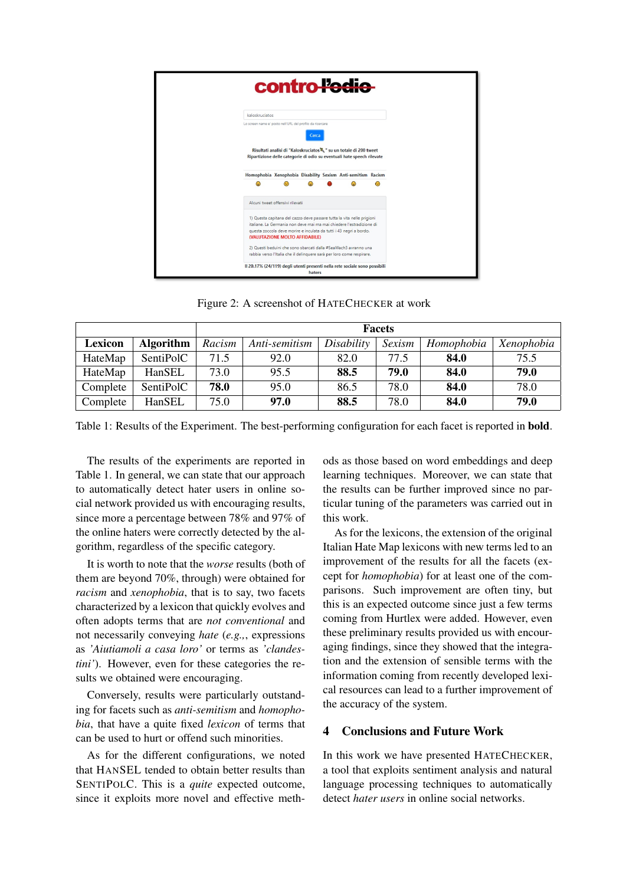

Figure 2: A screenshot of HATECHECKER at work

|          |                  | <b>Facets</b> |               |            |        |            |            |
|----------|------------------|---------------|---------------|------------|--------|------------|------------|
| Lexicon  | <b>Algorithm</b> | Racism        | Anti-semitism | Disability | Sexism | Homophobia | Xenophobia |
| HateMap  | SentiPolC        | 71.5          | 92.0          | 82.0       | 77.5   | 84.0       | 75.5       |
| HateMap  | HanSEL           | 73.0          | 95.5          | 88.5       | 79.0   | 84.0       | 79.0       |
| Complete | SentiPolC        | 78.0          | 95.0          | 86.5       | 78.0   | 84.0       | 78.0       |
| Complete | HanSEL           | 75.0          | 97.0          | 88.5       | 78.0   | 84.0       | 79.0       |

Table 1: Results of the Experiment. The best-performing configuration for each facet is reported in bold.

The results of the experiments are reported in Table 1. In general, we can state that our approach to automatically detect hater users in online social network provided us with encouraging results, since more a percentage between 78% and 97% of the online haters were correctly detected by the algorithm, regardless of the specific category.

It is worth to note that the *worse* results (both of them are beyond 70%, through) were obtained for *racism* and *xenophobia*, that is to say, two facets characterized by a lexicon that quickly evolves and often adopts terms that are *not conventional* and not necessarily conveying *hate* (*e.g.,*, expressions as *'Aiutiamoli a casa loro'* or terms as *'clandestini'*). However, even for these categories the results we obtained were encouraging.

Conversely, results were particularly outstanding for facets such as *anti-semitism* and *homophobia*, that have a quite fixed *lexicon* of terms that can be used to hurt or offend such minorities.

As for the different configurations, we noted that HANSEL tended to obtain better results than SENTIPOLC. This is a *quite* expected outcome, since it exploits more novel and effective methods as those based on word embeddings and deep learning techniques. Moreover, we can state that the results can be further improved since no particular tuning of the parameters was carried out in this work.

As for the lexicons, the extension of the original Italian Hate Map lexicons with new terms led to an improvement of the results for all the facets (except for *homophobia*) for at least one of the comparisons. Such improvement are often tiny, but this is an expected outcome since just a few terms coming from Hurtlex were added. However, even these preliminary results provided us with encouraging findings, since they showed that the integration and the extension of sensible terms with the information coming from recently developed lexical resources can lead to a further improvement of the accuracy of the system.

# 4 Conclusions and Future Work

In this work we have presented HATECHECKER, a tool that exploits sentiment analysis and natural language processing techniques to automatically detect *hater users* in online social networks.